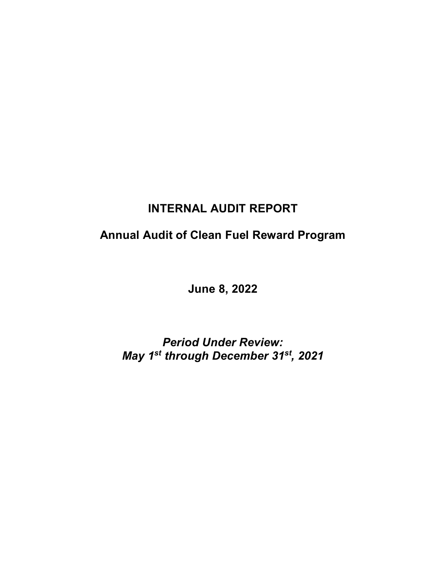# **INTERNAL AUDIT REPORT**

# **Annual Audit of Clean Fuel Reward Program**

**June 8, 2022**

*Period Under Review: May 1st through December 31st, 2021*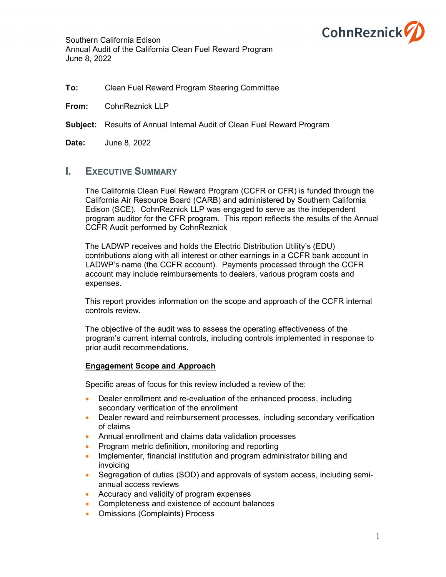

## **To:** Clean Fuel Reward Program Steering Committee

**From:** CohnReznick LLP

## **Subject:** Results of Annual Internal Audit of Clean Fuel Reward Program

**Date:** June 8, 2022

## **I. EXECUTIVE SUMMARY**

The California Clean Fuel Reward Program (CCFR or CFR) is funded through the California Air Resource Board (CARB) and administered by Southern California Edison (SCE). CohnReznick LLP was engaged to serve as the independent program auditor for the CFR program. This report reflects the results of the Annual CCFR Audit performed by CohnReznick

The LADWP receives and holds the Electric Distribution Utility's (EDU) contributions along with all interest or other earnings in a CCFR bank account in LADWP's name (the CCFR account). Payments processed through the CCFR account may include reimbursements to dealers, various program costs and expenses.

This report provides information on the scope and approach of the CCFR internal controls review.

The objective of the audit was to assess the operating effectiveness of the program's current internal controls, including controls implemented in response to prior audit recommendations.

## **Engagement Scope and Approach**

Specific areas of focus for this review included a review of the:

- Dealer enrollment and re-evaluation of the enhanced process, including secondary verification of the enrollment
- Dealer reward and reimbursement processes, including secondary verification of claims
- Annual enrollment and claims data validation processes
- Program metric definition, monitoring and reporting
- Implementer, financial institution and program administrator billing and invoicing
- Segregation of duties (SOD) and approvals of system access, including semiannual access reviews
- Accuracy and validity of program expenses
- Completeness and existence of account balances
- Omissions (Complaints) Process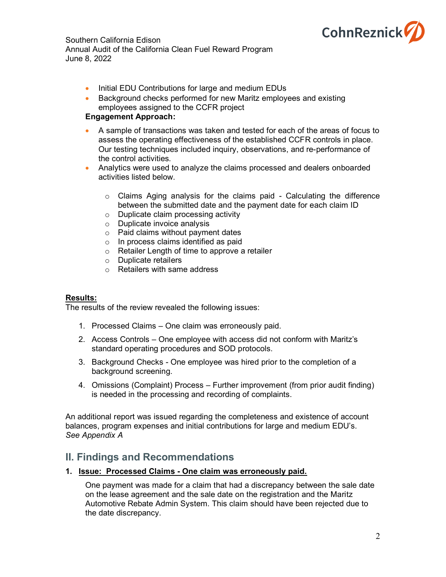

- Initial EDU Contributions for large and medium EDUs
- Background checks performed for new Maritz employees and existing employees assigned to the CCFR project

## **Engagement Approach:**

- A sample of transactions was taken and tested for each of the areas of focus to assess the operating effectiveness of the established CCFR controls in place. Our testing techniques included inquiry, observations, and re-performance of the control activities.
- Analytics were used to analyze the claims processed and dealers onboarded activities listed below.
	- $\circ$  Claims Aging analysis for the claims paid Calculating the difference between the submitted date and the payment date for each claim ID
	- o Duplicate claim processing activity
	- o Duplicate invoice analysis
	- o Paid claims without payment dates
	- o In process claims identified as paid
	- o Retailer Length of time to approve a retailer
	- o Duplicate retailers
	- o Retailers with same address

#### **Results:**

The results of the review revealed the following issues:

- 1. Processed Claims One claim was erroneously paid.
- 2. Access Controls One employee with access did not conform with Maritz's standard operating procedures and SOD protocols.
- 3. Background Checks One employee was hired prior to the completion of a background screening.
- 4. Omissions (Complaint) Process Further improvement (from prior audit finding) is needed in the processing and recording of complaints.

An additional report was issued regarding the completeness and existence of account balances, program expenses and initial contributions for large and medium EDU's. *See Appendix A*

## **II. Findings and Recommendations**

#### **1. Issue: Processed Claims - One claim was erroneously paid.**

One payment was made for a claim that had a discrepancy between the sale date on the lease agreement and the sale date on the registration and the Maritz Automotive Rebate Admin System. This claim should have been rejected due to the date discrepancy.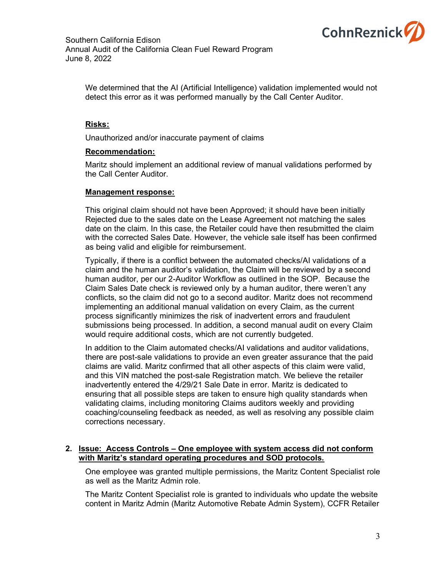

We determined that the AI (Artificial Intelligence) validation implemented would not detect this error as it was performed manually by the Call Center Auditor.

#### **Risks:**

Unauthorized and/or inaccurate payment of claims

#### **Recommendation:**

Maritz should implement an additional review of manual validations performed by the Call Center Auditor.

#### **Management response:**

This original claim should not have been Approved; it should have been initially Rejected due to the sales date on the Lease Agreement not matching the sales date on the claim. In this case, the Retailer could have then resubmitted the claim with the corrected Sales Date. However, the vehicle sale itself has been confirmed as being valid and eligible for reimbursement.

Typically, if there is a conflict between the automated checks/AI validations of a claim and the human auditor's validation, the Claim will be reviewed by a second human auditor, per our 2-Auditor Workflow as outlined in the SOP. Because the Claim Sales Date check is reviewed only by a human auditor, there weren't any conflicts, so the claim did not go to a second auditor. Maritz does not recommend implementing an additional manual validation on every Claim, as the current process significantly minimizes the risk of inadvertent errors and fraudulent submissions being processed. In addition, a second manual audit on every Claim would require additional costs, which are not currently budgeted.

In addition to the Claim automated checks/AI validations and auditor validations, there are post-sale validations to provide an even greater assurance that the paid claims are valid. Maritz confirmed that all other aspects of this claim were valid, and this VIN matched the post-sale Registration match. We believe the retailer inadvertently entered the 4/29/21 Sale Date in error. Maritz is dedicated to ensuring that all possible steps are taken to ensure high quality standards when validating claims, including monitoring Claims auditors weekly and providing coaching/counseling feedback as needed, as well as resolving any possible claim corrections necessary.

#### **2. Issue: Access Controls – One employee with system access did not conform with Maritz's standard operating procedures and SOD protocols.**

One employee was granted multiple permissions, the Maritz Content Specialist role as well as the Maritz Admin role.

The Maritz Content Specialist role is granted to individuals who update the website content in Maritz Admin (Maritz Automotive Rebate Admin System), CCFR Retailer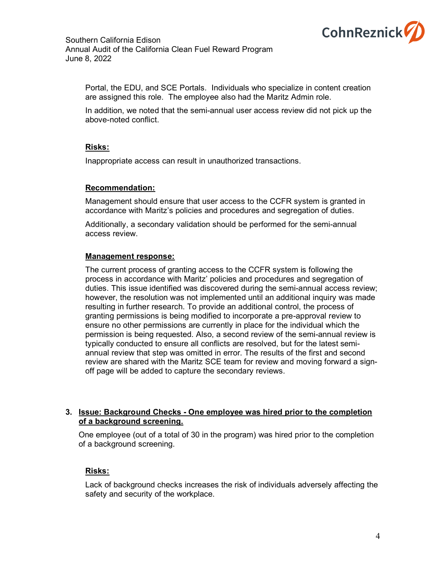

Portal, the EDU, and SCE Portals. Individuals who specialize in content creation are assigned this role. The employee also had the Maritz Admin role.

In addition, we noted that the semi-annual user access review did not pick up the above-noted conflict.

#### **Risks:**

Inappropriate access can result in unauthorized transactions.

#### **Recommendation:**

Management should ensure that user access to the CCFR system is granted in accordance with Maritz's policies and procedures and segregation of duties.

Additionally, a secondary validation should be performed for the semi-annual access review.

#### **Management response:**

The current process of granting access to the CCFR system is following the process in accordance with Maritz' policies and procedures and segregation of duties. This issue identified was discovered during the semi-annual access review; however, the resolution was not implemented until an additional inquiry was made resulting in further research. To provide an additional control, the process of granting permissions is being modified to incorporate a pre-approval review to ensure no other permissions are currently in place for the individual which the permission is being requested. Also, a second review of the semi-annual review is typically conducted to ensure all conflicts are resolved, but for the latest semiannual review that step was omitted in error. The results of the first and second review are shared with the Maritz SCE team for review and moving forward a signoff page will be added to capture the secondary reviews.

#### **3. Issue: Background Checks - One employee was hired prior to the completion of a background screening.**

One employee (out of a total of 30 in the program) was hired prior to the completion of a background screening.

## **Risks:**

Lack of background checks increases the risk of individuals adversely affecting the safety and security of the workplace.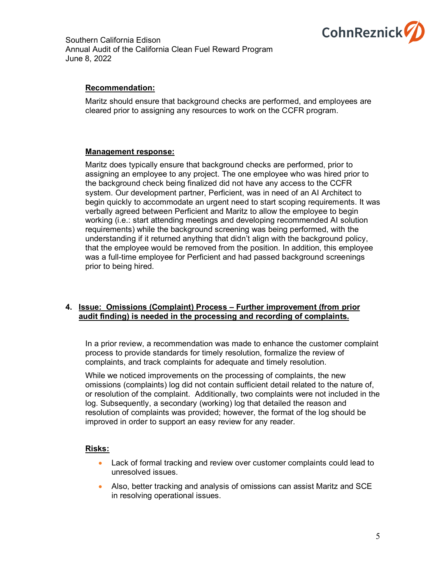

## **Recommendation:**

Maritz should ensure that background checks are performed, and employees are cleared prior to assigning any resources to work on the CCFR program.

#### **Management response:**

Maritz does typically ensure that background checks are performed, prior to assigning an employee to any project. The one employee who was hired prior to the background check being finalized did not have any access to the CCFR system. Our development partner, Perficient, was in need of an AI Architect to begin quickly to accommodate an urgent need to start scoping requirements. It was verbally agreed between Perficient and Maritz to allow the employee to begin working (i.e.: start attending meetings and developing recommended AI solution requirements) while the background screening was being performed, with the understanding if it returned anything that didn't align with the background policy, that the employee would be removed from the position. In addition, this employee was a full-time employee for Perficient and had passed background screenings prior to being hired.

#### **4. Issue: Omissions (Complaint) Process – Further improvement (from prior audit finding) is needed in the processing and recording of complaints.**

In a prior review, a recommendation was made to enhance the customer complaint process to provide standards for timely resolution, formalize the review of complaints, and track complaints for adequate and timely resolution.

While we noticed improvements on the processing of complaints, the new omissions (complaints) log did not contain sufficient detail related to the nature of, or resolution of the complaint. Additionally, two complaints were not included in the log. Subsequently, a secondary (working) log that detailed the reason and resolution of complaints was provided; however, the format of the log should be improved in order to support an easy review for any reader.

## **Risks:**

- Lack of formal tracking and review over customer complaints could lead to unresolved issues.
- Also, better tracking and analysis of omissions can assist Maritz and SCE in resolving operational issues.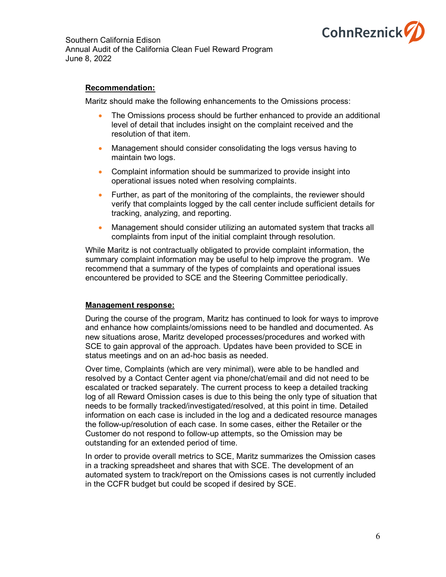

## **Recommendation:**

Maritz should make the following enhancements to the Omissions process:

- The Omissions process should be further enhanced to provide an additional level of detail that includes insight on the complaint received and the resolution of that item.
- Management should consider consolidating the logs versus having to maintain two logs.
- Complaint information should be summarized to provide insight into operational issues noted when resolving complaints.
- Further, as part of the monitoring of the complaints, the reviewer should verify that complaints logged by the call center include sufficient details for tracking, analyzing, and reporting.
- Management should consider utilizing an automated system that tracks all complaints from input of the initial complaint through resolution.

While Maritz is not contractually obligated to provide complaint information, the summary complaint information may be useful to help improve the program. We recommend that a summary of the types of complaints and operational issues encountered be provided to SCE and the Steering Committee periodically.

#### **Management response:**

During the course of the program, Maritz has continued to look for ways to improve and enhance how complaints/omissions need to be handled and documented. As new situations arose, Maritz developed processes/procedures and worked with SCE to gain approval of the approach. Updates have been provided to SCE in status meetings and on an ad-hoc basis as needed.

Over time, Complaints (which are very minimal), were able to be handled and resolved by a Contact Center agent via phone/chat/email and did not need to be escalated or tracked separately. The current process to keep a detailed tracking log of all Reward Omission cases is due to this being the only type of situation that needs to be formally tracked/investigated/resolved, at this point in time. Detailed information on each case is included in the log and a dedicated resource manages the follow-up/resolution of each case. In some cases, either the Retailer or the Customer do not respond to follow-up attempts, so the Omission may be outstanding for an extended period of time.

In order to provide overall metrics to SCE, Maritz summarizes the Omission cases in a tracking spreadsheet and shares that with SCE. The development of an automated system to track/report on the Omissions cases is not currently included in the CCFR budget but could be scoped if desired by SCE.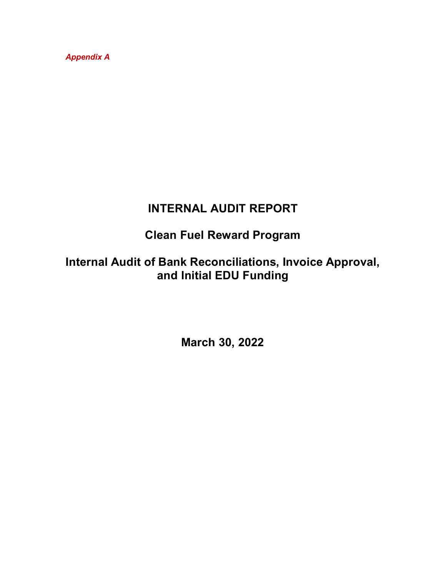*Appendix A*

# **INTERNAL AUDIT REPORT**

# **Clean Fuel Reward Program**

# **Internal Audit of Bank Reconciliations, Invoice Approval, and Initial EDU Funding**

**March 30, 2022**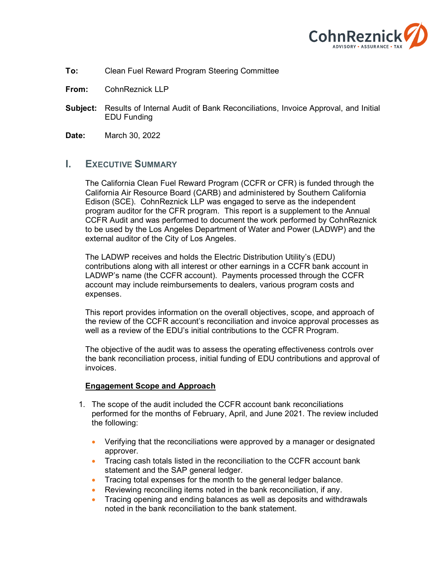

- **To:** Clean Fuel Reward Program Steering Committee
- **From:** CohnReznick LLP
- **Subject:** Results of Internal Audit of Bank Reconciliations, Invoice Approval, and Initial EDU Funding
- **Date:** March 30, 2022

## **I. EXECUTIVE SUMMARY**

The California Clean Fuel Reward Program (CCFR or CFR) is funded through the California Air Resource Board (CARB) and administered by Southern California Edison (SCE). CohnReznick LLP was engaged to serve as the independent program auditor for the CFR program. This report is a supplement to the Annual CCFR Audit and was performed to document the work performed by CohnReznick to be used by the Los Angeles Department of Water and Power (LADWP) and the external auditor of the City of Los Angeles.

The LADWP receives and holds the Electric Distribution Utility's (EDU) contributions along with all interest or other earnings in a CCFR bank account in LADWP's name (the CCFR account). Payments processed through the CCFR account may include reimbursements to dealers, various program costs and expenses.

This report provides information on the overall objectives, scope, and approach of the review of the CCFR account's reconciliation and invoice approval processes as well as a review of the EDU's initial contributions to the CCFR Program.

The objective of the audit was to assess the operating effectiveness controls over the bank reconciliation process, initial funding of EDU contributions and approval of invoices.

#### **Engagement Scope and Approach**

- 1. The scope of the audit included the CCFR account bank reconciliations performed for the months of February, April, and June 2021. The review included the following:
	- Verifying that the reconciliations were approved by a manager or designated approver.
	- Tracing cash totals listed in the reconciliation to the CCFR account bank statement and the SAP general ledger.
	- Tracing total expenses for the month to the general ledger balance.
	- Reviewing reconciling items noted in the bank reconciliation, if any.
	- Tracing opening and ending balances as well as deposits and withdrawals noted in the bank reconciliation to the bank statement.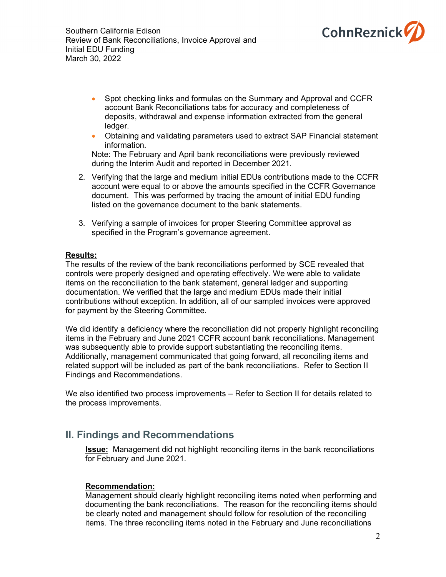



- Spot checking links and formulas on the Summary and Approval and CCFR account Bank Reconciliations tabs for accuracy and completeness of deposits, withdrawal and expense information extracted from the general ledger.
- Obtaining and validating parameters used to extract SAP Financial statement information.

Note: The February and April bank reconciliations were previously reviewed during the Interim Audit and reported in December 2021.

- 2. Verifying that the large and medium initial EDUs contributions made to the CCFR account were equal to or above the amounts specified in the CCFR Governance document. This was performed by tracing the amount of initial EDU funding listed on the governance document to the bank statements.
- 3. Verifying a sample of invoices for proper Steering Committee approval as specified in the Program's governance agreement.

#### **Results:**

The results of the review of the bank reconciliations performed by SCE revealed that controls were properly designed and operating effectively. We were able to validate items on the reconciliation to the bank statement, general ledger and supporting documentation. We verified that the large and medium EDUs made their initial contributions without exception. In addition, all of our sampled invoices were approved for payment by the Steering Committee.

We did identify a deficiency where the reconciliation did not properly highlight reconciling items in the February and June 2021 CCFR account bank reconciliations. Management was subsequently able to provide support substantiating the reconciling items. Additionally, management communicated that going forward, all reconciling items and related support will be included as part of the bank reconciliations. Refer to Section II Findings and Recommendations.

We also identified two process improvements – Refer to Section II for details related to the process improvements.

## **II. Findings and Recommendations**

**Issue:** Management did not highlight reconciling items in the bank reconciliations for February and June 2021.

## **Recommendation:**

Management should clearly highlight reconciling items noted when performing and documenting the bank reconciliations. The reason for the reconciling items should be clearly noted and management should follow for resolution of the reconciling items. The three reconciling items noted in the February and June reconciliations